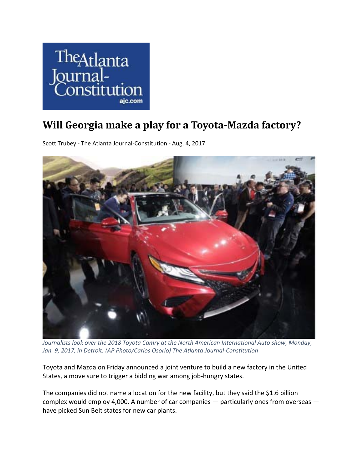

## **Will Georgia make a play for a Toyota‐Mazda factory?**

Scott Trubey ‐ The Atlanta Journal‐Constitution ‐ Aug. 4, 2017



*Journalists look over the 2018 Toyota Camry at the North American International Auto show, Monday, Jan. 9, 2017, in Detroit. (AP Photo/Carlos Osorio) The Atlanta Journal‐Constitution*

Toyota and Mazda on Friday announced a joint venture to build a new factory in the United States, a move sure to trigger a bidding war among job-hungry states.

The companies did not name a location for the new facility, but they said the \$1.6 billion complex would employ 4,000. A number of car companies — particularly ones from overseas have picked Sun Belt states for new car plants.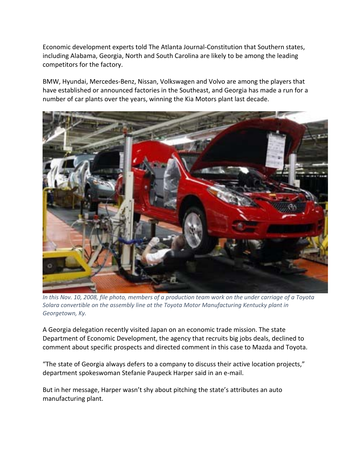Economic development experts told The Atlanta Journal‐Constitution that Southern states, including Alabama, Georgia, North and South Carolina are likely to be among the leading competitors for the factory.

BMW, Hyundai, Mercedes‐Benz, Nissan, Volkswagen and Volvo are among the players that have established or announced factories in the Southeast, and Georgia has made a run for a number of car plants over the years, winning the Kia Motors plant last decade.



In this Nov. 10, 2008, file photo, members of a production team work on the under carriage of a Toyota *Solara convertible on the assembly line at the Toyota Motor Manufacturing Kentucky plant in Georgetown, Ky.* 

A Georgia delegation recently visited Japan on an economic trade mission. The state Department of Economic Development, the agency that recruits big jobs deals, declined to comment about specific prospects and directed comment in this case to Mazda and Toyota.

"The state of Georgia always defers to a company to discuss their active location projects," department spokeswoman Stefanie Paupeck Harper said in an e‐mail.

But in her message, Harper wasn't shy about pitching the state's attributes an auto manufacturing plant.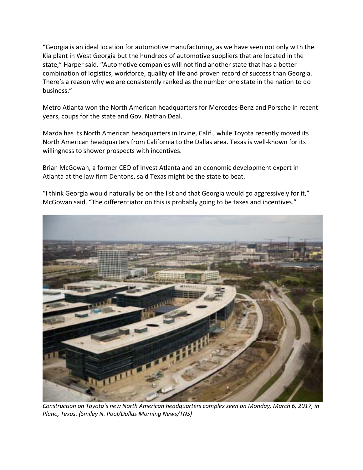"Georgia is an ideal location for automotive manufacturing, as we have seen not only with the Kia plant in West Georgia but the hundreds of automotive suppliers that are located in the state," Harper said. "Automotive companies will not find another state that has a better combination of logistics, workforce, quality of life and proven record of success than Georgia. There's a reason why we are consistently ranked as the number one state in the nation to do business."

Metro Atlanta won the North American headquarters for Mercedes‐Benz and Porsche in recent years, coups for the state and Gov. Nathan Deal.

Mazda has its North American headquarters in Irvine, Calif., while Toyota recently moved its North American headquarters from California to the Dallas area. Texas is well‐known for its willingness to shower prospects with incentives.

Brian McGowan, a former CEO of Invest Atlanta and an economic development expert in Atlanta at the law firm Dentons, said Texas might be the state to beat.

"I think Georgia would naturally be on the list and that Georgia would go aggressively for it," McGowan said. "The differentiator on this is probably going to be taxes and incentives."



*Construction on Toyota's new North American headquarters complex seen on Monday, March 6, 2017, in Plano, Texas. (Smiley N. Pool/Dallas Morning News/TNS)*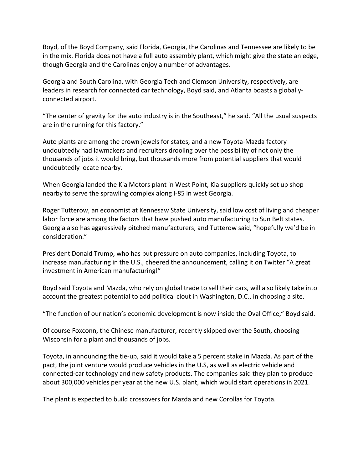Boyd, of the Boyd Company, said Florida, Georgia, the Carolinas and Tennessee are likely to be in the mix. Florida does not have a full auto assembly plant, which might give the state an edge, though Georgia and the Carolinas enjoy a number of advantages.

Georgia and South Carolina, with Georgia Tech and Clemson University, respectively, are leaders in research for connected car technology, Boyd said, and Atlanta boasts a globally‐ connected airport.

"The center of gravity for the auto industry is in the Southeast," he said. "All the usual suspects are in the running for this factory."

Auto plants are among the crown jewels for states, and a new Toyota‐Mazda factory undoubtedly had lawmakers and recruiters drooling over the possibility of not only the thousands of jobs it would bring, but thousands more from potential suppliers that would undoubtedly locate nearby.

When Georgia landed the Kia Motors plant in West Point, Kia suppliers quickly set up shop nearby to serve the sprawling complex along I‐85 in west Georgia.

Roger Tutterow, an economist at Kennesaw State University, said low cost of living and cheaper labor force are among the factors that have pushed auto manufacturing to Sun Belt states. Georgia also has aggressively pitched manufacturers, and Tutterow said, "hopefully we'd be in consideration."

President Donald Trump, who has put pressure on auto companies, including Toyota, to increase manufacturing in the U.S., cheered the announcement, calling it on Twitter "A great investment in American manufacturing!"

Boyd said Toyota and Mazda, who rely on global trade to sell their cars, will also likely take into account the greatest potential to add political clout in Washington, D.C., in choosing a site.

"The function of our nation's economic development is now inside the Oval Office," Boyd said.

Of course Foxconn, the Chinese manufacturer, recently skipped over the South, choosing Wisconsin for a plant and thousands of jobs.

Toyota, in announcing the tie‐up, said it would take a 5 percent stake in Mazda. As part of the pact, the joint venture would produce vehicles in the U.S, as well as electric vehicle and connected‐car technology and new safety products. The companies said they plan to produce about 300,000 vehicles per year at the new U.S. plant, which would start operations in 2021.

The plant is expected to build crossovers for Mazda and new Corollas for Toyota.